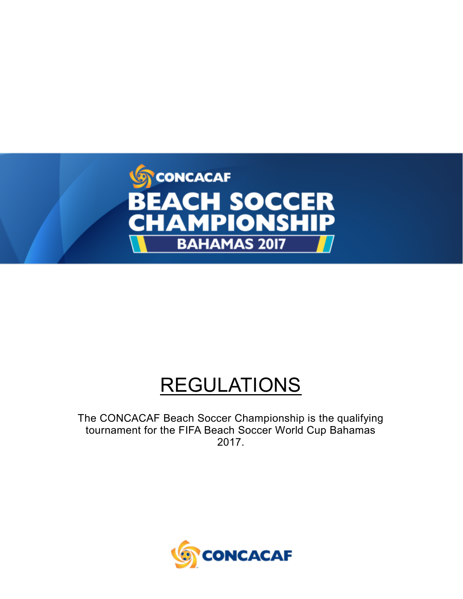

# **REGULATIONS**

The CONCACAF Beach Soccer Championship is the qualifying tournament for the FIFA Beach Soccer World Cup Bahamas 2017.

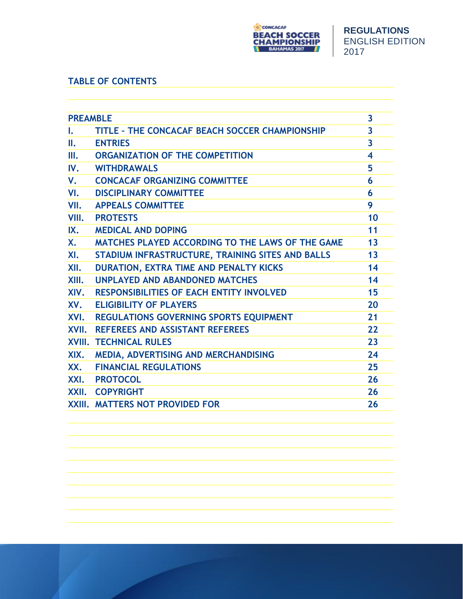

# **TABLE OF CONTENTS**

| <b>PREAMBLE</b> |                                                  | 3                       |
|-----------------|--------------------------------------------------|-------------------------|
| L.              | TITLE - THE CONCACAF BEACH SOCCER CHAMPIONSHIP   | $\overline{\mathbf{3}}$ |
| Ш.              | <b>ENTRIES</b>                                   | $\overline{\mathbf{3}}$ |
| III.            | ORGANIZATION OF THE COMPETITION                  | $\overline{\mathbf{4}}$ |
| IV.             | <b>WITHDRAWALS</b>                               | 5                       |
| V.              | <b>CONCACAF ORGANIZING COMMITTEE</b>             | 6                       |
| VI.             | <b>DISCIPLINARY COMMITTEE</b>                    | 6                       |
| VII.            | <b>APPEALS COMMITTEE</b>                         | 9                       |
|                 | <b>VIII. PROTESTS</b>                            | 10                      |
| IX.             | <b>MEDICAL AND DOPING</b>                        | 11                      |
| Х.              | MATCHES PLAYED ACCORDING TO THE LAWS OF THE GAME | 13                      |
| XI.             | STADIUM INFRASTRUCTURE, TRAINING SITES AND BALLS | 13                      |
| XII.            | DURATION, EXTRA TIME AND PENALTY KICKS           | 14                      |
| XIII.           | <b>UNPLAYED AND ABANDONED MATCHES</b>            | 14                      |
| XIV.            | <b>RESPONSIBILITIES OF EACH ENTITY INVOLVED</b>  | 15                      |
| XV.             | <b>ELIGIBILITY OF PLAYERS</b>                    | 20                      |
|                 | XVI. REGULATIONS GOVERNING SPORTS EQUIPMENT      | 21                      |
|                 | XVII. REFEREES AND ASSISTANT REFEREES            | 22                      |
|                 | <b>XVIII. TECHNICAL RULES</b>                    | 23                      |
| XIX.            | MEDIA, ADVERTISING AND MERCHANDISING             | 24                      |
| XX.             | <b>FINANCIAL REGULATIONS</b>                     | 25                      |
|                 | XXI. PROTOCOL                                    | 26                      |
|                 | XXII. COPYRIGHT                                  | 26                      |
|                 | <b>XXIII. MATTERS NOT PROVIDED FOR</b>           | 26                      |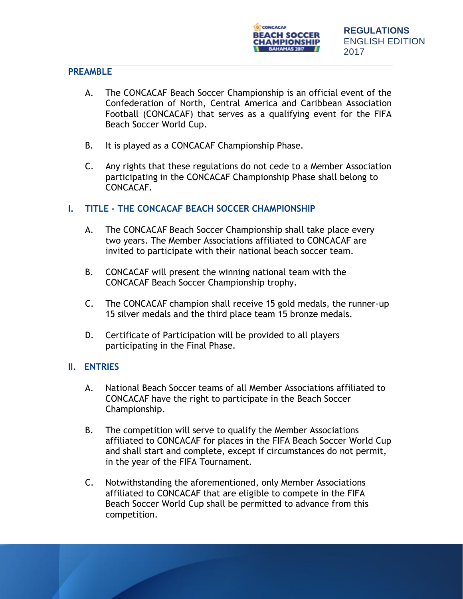

### **PREAMBLE**

- A. The CONCACAF Beach Soccer Championship is an official event of the Confederation of North, Central America and Caribbean Association Football (CONCACAF) that serves as a qualifying event for the FIFA Beach Soccer World Cup.
- B. It is played as a CONCACAF Championship Phase.
- C. Any rights that these regulations do not cede to a Member Association participating in the CONCACAF Championship Phase shall belong to CONCACAF.

# **I. TITLE - THE CONCACAF BEACH SOCCER CHAMPIONSHIP**

- A. The CONCACAF Beach Soccer Championship shall take place every two years. The Member Associations affiliated to CONCACAF are invited to participate with their national beach soccer team.
- B. CONCACAF will present the winning national team with the CONCACAF Beach Soccer Championship trophy.
- C. The CONCACAF champion shall receive 15 gold medals, the runner-up 15 silver medals and the third place team 15 bronze medals.
- D. Certificate of Participation will be provided to all players participating in the Final Phase.

## **II. ENTRIES**

- A. National Beach Soccer teams of all Member Associations affiliated to CONCACAF have the right to participate in the Beach Soccer Championship.
- B. The competition will serve to qualify the Member Associations affiliated to CONCACAF for places in the FIFA Beach Soccer World Cup and shall start and complete, except if circumstances do not permit, in the year of the FIFA Tournament.
- C. Notwithstanding the aforementioned, only Member Associations affiliated to CONCACAF that are eligible to compete in the FIFA Beach Soccer World Cup shall be permitted to advance from this competition.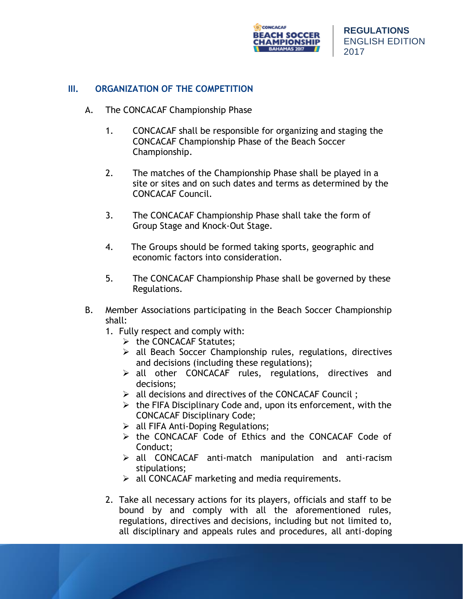

## **III. ORGANIZATION OF THE COMPETITION**

- A. The CONCACAF Championship Phase
	- 1. CONCACAF shall be responsible for organizing and staging the CONCACAF Championship Phase of the Beach Soccer Championship.
	- 2. The matches of the Championship Phase shall be played in a site or sites and on such dates and terms as determined by the CONCACAF Council.
	- 3. The CONCACAF Championship Phase shall take the form of Group Stage and Knock-Out Stage.
	- 4. The Groups should be formed taking sports, geographic and economic factors into consideration.
	- 5. The CONCACAF Championship Phase shall be governed by these Regulations.
- B. Member Associations participating in the Beach Soccer Championship shall:
	- 1. Fully respect and comply with:
		- ➢ the CONCACAF Statutes;
		- ➢ all Beach Soccer Championship rules, regulations, directives and decisions (including these regulations);
		- ➢ all other CONCACAF rules, regulations, directives and decisions;
		- ➢ all decisions and directives of the CONCACAF Council ;
		- $\triangleright$  the FIFA Disciplinary Code and, upon its enforcement, with the CONCACAF Disciplinary Code;
		- $\triangleright$  all FIFA Anti-Doping Regulations;
		- ➢ the CONCACAF Code of Ethics and the CONCACAF Code of Conduct;
		- ➢ all CONCACAF anti-match manipulation and anti-racism stipulations;
		- $\triangleright$  all CONCACAF marketing and media requirements.
	- 2. Take all necessary actions for its players, officials and staff to be bound by and comply with all the aforementioned rules, regulations, directives and decisions, including but not limited to, all disciplinary and appeals rules and procedures, all anti-doping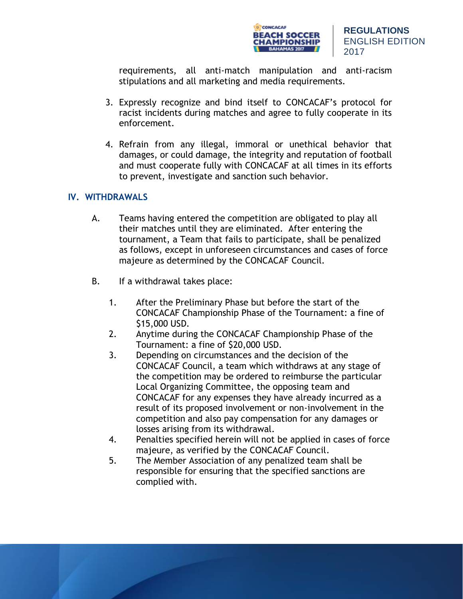

requirements, all anti-match manipulation and anti-racism stipulations and all marketing and media requirements.

- 3. Expressly recognize and bind itself to CONCACAF's protocol for racist incidents during matches and agree to fully cooperate in its enforcement.
- 4. Refrain from any illegal, immoral or unethical behavior that damages, or could damage, the integrity and reputation of football and must cooperate fully with CONCACAF at all times in its efforts to prevent, investigate and sanction such behavior.

# **IV. WITHDRAWALS**

- A. Teams having entered the competition are obligated to play all their matches until they are eliminated. After entering the tournament, a Team that fails to participate, shall be penalized as follows, except in unforeseen circumstances and cases of force majeure as determined by the CONCACAF Council.
- B. If a withdrawal takes place:
	- 1. After the Preliminary Phase but before the start of the CONCACAF Championship Phase of the Tournament: a fine of \$15,000 USD.
	- 2. Anytime during the CONCACAF Championship Phase of the Tournament: a fine of \$20,000 USD.
	- 3. Depending on circumstances and the decision of the CONCACAF Council, a team which withdraws at any stage of the competition may be ordered to reimburse the particular Local Organizing Committee, the opposing team and CONCACAF for any expenses they have already incurred as a result of its proposed involvement or non-involvement in the competition and also pay compensation for any damages or losses arising from its withdrawal.
	- 4. Penalties specified herein will not be applied in cases of force majeure, as verified by the CONCACAF Council.
	- 5. The Member Association of any penalized team shall be responsible for ensuring that the specified sanctions are complied with.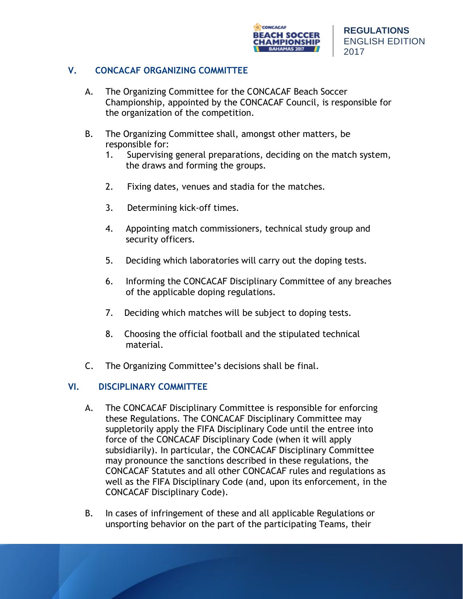

# **V. CONCACAF ORGANIZING COMMITTEE**

- A. The Organizing Committee for the CONCACAF Beach Soccer Championship, appointed by the CONCACAF Council, is responsible for the organization of the competition.
- B. The Organizing Committee shall, amongst other matters, be responsible for:
	- 1. Supervising general preparations, deciding on the match system, the draws and forming the groups.
	- 2. Fixing dates, venues and stadia for the matches.
	- 3. Determining kick-off times.
	- 4. Appointing match commissioners, technical study group and security officers.
	- 5. Deciding which laboratories will carry out the doping tests.
	- 6. Informing the CONCACAF Disciplinary Committee of any breaches of the applicable doping regulations.
	- 7. Deciding which matches will be subject to doping tests.
	- 8. Choosing the official football and the stipulated technical material.
- C. The Organizing Committee's decisions shall be final.

# **VI. DISCIPLINARY COMMITTEE**

- A. The CONCACAF Disciplinary Committee is responsible for enforcing these Regulations. The CONCACAF Disciplinary Committee may suppletorily apply the FIFA Disciplinary Code until the entree into force of the CONCACAF Disciplinary Code (when it will apply subsidiarily). In particular, the CONCACAF Disciplinary Committee may pronounce the sanctions described in these regulations, the CONCACAF Statutes and all other CONCACAF rules and regulations as well as the FIFA Disciplinary Code (and, upon its enforcement, in the CONCACAF Disciplinary Code).
- B. In cases of infringement of these and all applicable Regulations or unsporting behavior on the part of the participating Teams, their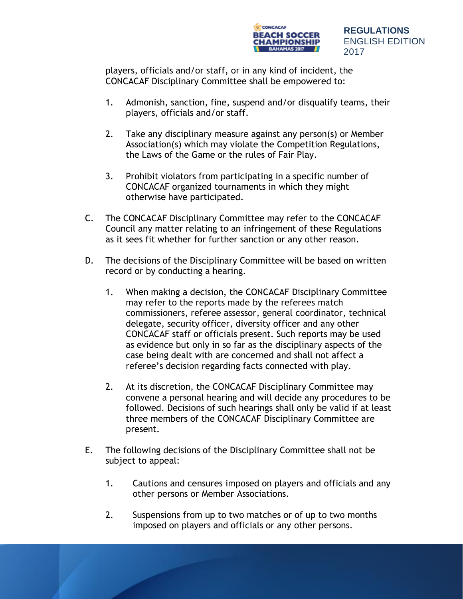

players, officials and/or staff, or in any kind of incident, the CONCACAF Disciplinary Committee shall be empowered to:

- 1. Admonish, sanction, fine, suspend and/or disqualify teams, their players, officials and/or staff.
- 2. Take any disciplinary measure against any person(s) or Member Association(s) which may violate the Competition Regulations, the Laws of the Game or the rules of Fair Play.
- 3. Prohibit violators from participating in a specific number of CONCACAF organized tournaments in which they might otherwise have participated.
- C. The CONCACAF Disciplinary Committee may refer to the CONCACAF Council any matter relating to an infringement of these Regulations as it sees fit whether for further sanction or any other reason.
- D. The decisions of the Disciplinary Committee will be based on written record or by conducting a hearing.
	- 1. When making a decision, the CONCACAF Disciplinary Committee may refer to the reports made by the referees match commissioners, referee assessor, general coordinator, technical delegate, security officer, diversity officer and any other CONCACAF staff or officials present. Such reports may be used as evidence but only in so far as the disciplinary aspects of the case being dealt with are concerned and shall not affect a referee's decision regarding facts connected with play.
	- 2. At its discretion, the CONCACAF Disciplinary Committee may convene a personal hearing and will decide any procedures to be followed. Decisions of such hearings shall only be valid if at least three members of the CONCACAF Disciplinary Committee are present.
- E. The following decisions of the Disciplinary Committee shall not be subject to appeal:
	- 1. Cautions and censures imposed on players and officials and any other persons or Member Associations.
	- 2. Suspensions from up to two matches or of up to two months imposed on players and officials or any other persons.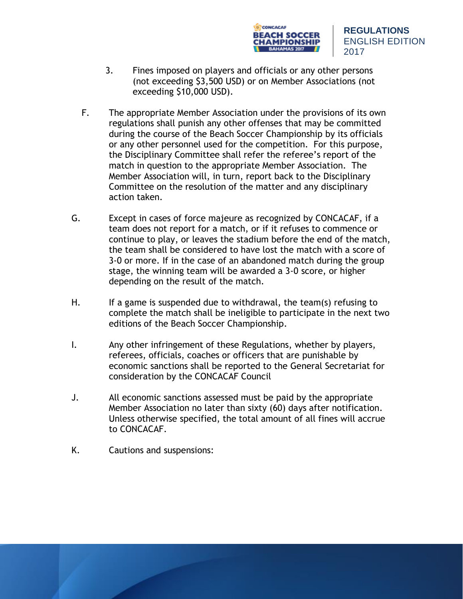

- 3. Fines imposed on players and officials or any other persons (not exceeding \$3,500 USD) or on Member Associations (not exceeding \$10,000 USD).
- F. The appropriate Member Association under the provisions of its own regulations shall punish any other offenses that may be committed during the course of the Beach Soccer Championship by its officials or any other personnel used for the competition. For this purpose, the Disciplinary Committee shall refer the referee's report of the match in question to the appropriate Member Association. The Member Association will, in turn, report back to the Disciplinary Committee on the resolution of the matter and any disciplinary action taken.
- G. Except in cases of force majeure as recognized by CONCACAF, if a team does not report for a match, or if it refuses to commence or continue to play, or leaves the stadium before the end of the match, the team shall be considered to have lost the match with a score of 3-0 or more. If in the case of an abandoned match during the group stage, the winning team will be awarded a 3-0 score, or higher depending on the result of the match.
- H. If a game is suspended due to withdrawal, the team(s) refusing to complete the match shall be ineligible to participate in the next two editions of the Beach Soccer Championship.
- I. Any other infringement of these Regulations, whether by players, referees, officials, coaches or officers that are punishable by economic sanctions shall be reported to the General Secretariat for consideration by the CONCACAF Council
- J. All economic sanctions assessed must be paid by the appropriate Member Association no later than sixty (60) days after notification. Unless otherwise specified, the total amount of all fines will accrue to CONCACAF.
- K. Cautions and suspensions: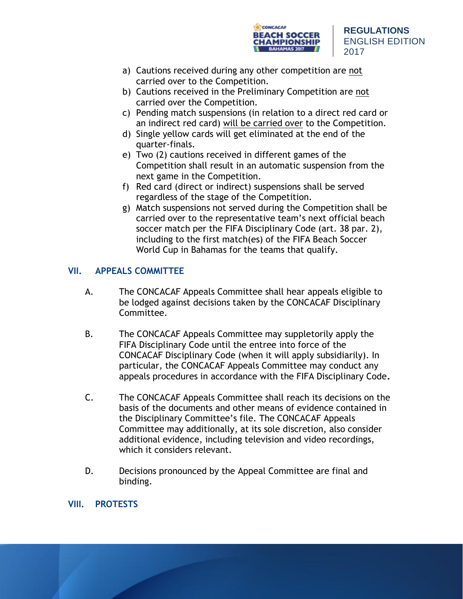

- a) Cautions received during any other competition are not carried over to the Competition.
- b) Cautions received in the Preliminary Competition are not carried over the Competition.
- c) Pending match suspensions (in relation to a direct red card or an indirect red card) will be carried over to the Competition.
- d) Single yellow cards will get eliminated at the end of the quarter-finals.
- e) Two (2) cautions received in different games of the Competition shall result in an automatic suspension from the next game in the Competition.
- f) Red card (direct or indirect) suspensions shall be served regardless of the stage of the Competition.
- g) Match suspensions not served during the Competition shall be carried over to the representative team's next official beach soccer match per the FIFA Disciplinary Code (art. 38 par. 2), including to the first match(es) of the FIFA Beach Soccer World Cup in Bahamas for the teams that qualify.

# **VII. APPEALS COMMITTEE**

- A. The CONCACAF Appeals Committee shall hear appeals eligible to be lodged against decisions taken by the CONCACAF Disciplinary Committee.
- B. The CONCACAF Appeals Committee may suppletorily apply the FIFA Disciplinary Code until the entree into force of the CONCACAF Disciplinary Code (when it will apply subsidiarily). In particular, the CONCACAF Appeals Committee may conduct any appeals procedures in accordance with the FIFA Disciplinary Code**.**
- C. The CONCACAF Appeals Committee shall reach its decisions on the basis of the documents and other means of evidence contained in the Disciplinary Committee's file. The CONCACAF Appeals Committee may additionally, at its sole discretion, also consider additional evidence, including television and video recordings, which it considers relevant.
- D. Decisions pronounced by the Appeal Committee are final and binding.

# **VIII. PROTESTS**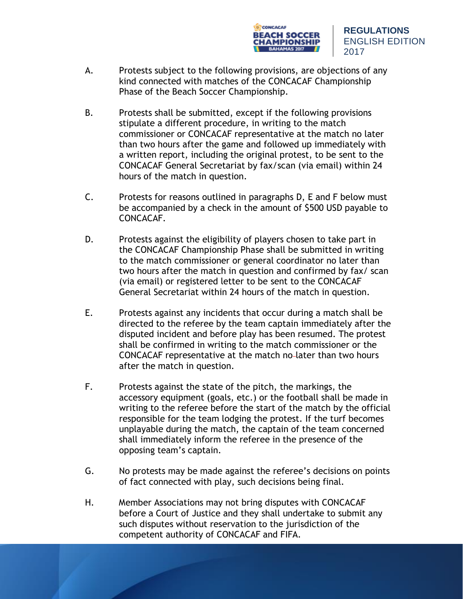

- A. Protests subject to the following provisions, are objections of any kind connected with matches of the CONCACAF Championship Phase of the Beach Soccer Championship.
- B. Protests shall be submitted, except if the following provisions stipulate a different procedure, in writing to the match commissioner or CONCACAF representative at the match no later than two hours after the game and followed up immediately with a written report, including the original protest, to be sent to the CONCACAF General Secretariat by fax/scan (via email) within 24 hours of the match in question.
- C. Protests for reasons outlined in paragraphs D, E and F below must be accompanied by a check in the amount of \$500 USD payable to CONCACAF.
- D. Protests against the eligibility of players chosen to take part in the CONCACAF Championship Phase shall be submitted in writing to the match commissioner or general coordinator no later than two hours after the match in question and confirmed by fax/ scan (via email) or registered letter to be sent to the CONCACAF General Secretariat within 24 hours of the match in question.
- E. Protests against any incidents that occur during a match shall be directed to the referee by the team captain immediately after the disputed incident and before play has been resumed. The protest shall be confirmed in writing to the match commissioner or the CONCACAF representative at the match no later than two hours after the match in question.
- F. Protests against the state of the pitch, the markings, the accessory equipment (goals, etc.) or the football shall be made in writing to the referee before the start of the match by the official responsible for the team lodging the protest. If the turf becomes unplayable during the match, the captain of the team concerned shall immediately inform the referee in the presence of the opposing team's captain.
- G. No protests may be made against the referee's decisions on points of fact connected with play, such decisions being final.
- H. Member Associations may not bring disputes with CONCACAF before a Court of Justice and they shall undertake to submit any such disputes without reservation to the jurisdiction of the competent authority of CONCACAF and FIFA.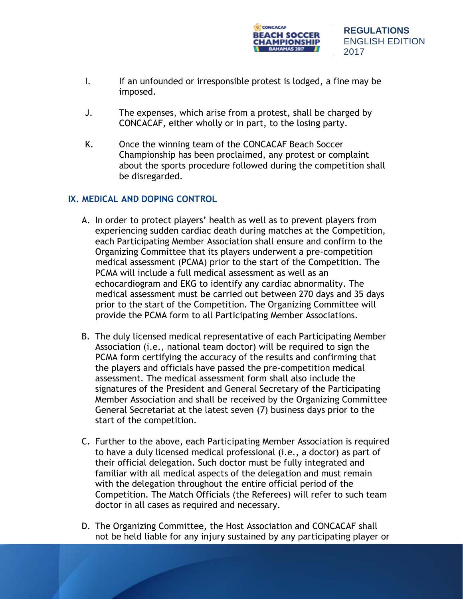

- I. If an unfounded or irresponsible protest is lodged, a fine may be imposed.
- J. The expenses, which arise from a protest, shall be charged by CONCACAF, either wholly or in part, to the losing party.
- K. Once the winning team of the CONCACAF Beach Soccer Championship has been proclaimed, any protest or complaint about the sports procedure followed during the competition shall be disregarded.

# **IX. MEDICAL AND DOPING CONTROL**

- A. In order to protect players' health as well as to prevent players from experiencing sudden cardiac death during matches at the Competition, each Participating Member Association shall ensure and confirm to the Organizing Committee that its players underwent a pre-competition medical assessment (PCMA) prior to the start of the Competition. The PCMA will include a full medical assessment as well as an echocardiogram and EKG to identify any cardiac abnormality. The medical assessment must be carried out between 270 days and 35 days prior to the start of the Competition. The Organizing Committee will provide the PCMA form to all Participating Member Associations.
- B. The duly licensed medical representative of each Participating Member Association (i.e., national team doctor) will be required to sign the PCMA form certifying the accuracy of the results and confirming that the players and officials have passed the pre-competition medical assessment. The medical assessment form shall also include the signatures of the President and General Secretary of the Participating Member Association and shall be received by the Organizing Committee General Secretariat at the latest seven (7) business days prior to the start of the competition.
- C. Further to the above, each Participating Member Association is required to have a duly licensed medical professional (i.e., a doctor) as part of their official delegation. Such doctor must be fully integrated and familiar with all medical aspects of the delegation and must remain with the delegation throughout the entire official period of the Competition. The Match Officials (the Referees) will refer to such team doctor in all cases as required and necessary.
- D. The Organizing Committee, the Host Association and CONCACAF shall not be held liable for any injury sustained by any participating player or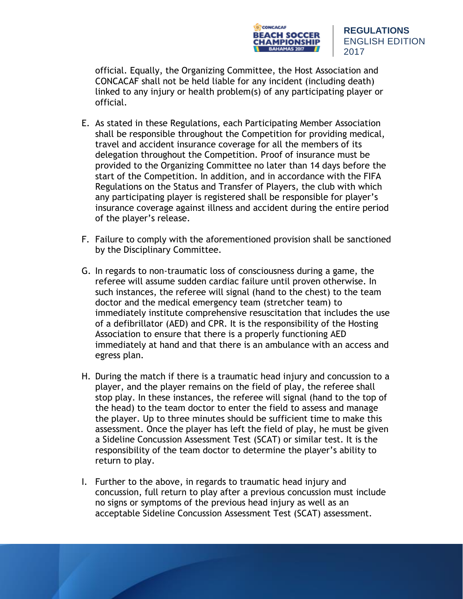

official. Equally, the Organizing Committee, the Host Association and CONCACAF shall not be held liable for any incident (including death) linked to any injury or health problem(s) of any participating player or official.

- E. As stated in these Regulations, each Participating Member Association shall be responsible throughout the Competition for providing medical, travel and accident insurance coverage for all the members of its delegation throughout the Competition. Proof of insurance must be provided to the Organizing Committee no later than 14 days before the start of the Competition. In addition, and in accordance with the FIFA Regulations on the Status and Transfer of Players, the club with which any participating player is registered shall be responsible for player's insurance coverage against illness and accident during the entire period of the player's release.
- F. Failure to comply with the aforementioned provision shall be sanctioned by the Disciplinary Committee.
- G. In regards to non-traumatic loss of consciousness during a game, the referee will assume sudden cardiac failure until proven otherwise. In such instances, the referee will signal (hand to the chest) to the team doctor and the medical emergency team (stretcher team) to immediately institute comprehensive resuscitation that includes the use of a defibrillator (AED) and CPR. It is the responsibility of the Hosting Association to ensure that there is a properly functioning AED immediately at hand and that there is an ambulance with an access and egress plan.
- H. During the match if there is a traumatic head injury and concussion to a player, and the player remains on the field of play, the referee shall stop play. In these instances, the referee will signal (hand to the top of the head) to the team doctor to enter the field to assess and manage the player. Up to three minutes should be sufficient time to make this assessment. Once the player has left the field of play, he must be given a Sideline Concussion Assessment Test (SCAT) or similar test. It is the responsibility of the team doctor to determine the player's ability to return to play.
- I. Further to the above, in regards to traumatic head injury and concussion, full return to play after a previous concussion must include no signs or symptoms of the previous head injury as well as an acceptable Sideline Concussion Assessment Test (SCAT) assessment.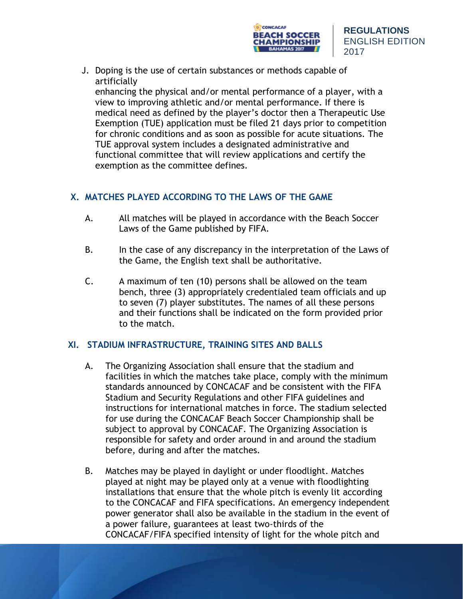

J. Doping is the use of certain substances or methods capable of artificially

enhancing the physical and/or mental performance of a player, with a view to improving athletic and/or mental performance. If there is medical need as defined by the player's doctor then a Therapeutic Use Exemption (TUE) application must be filed 21 days prior to competition for chronic conditions and as soon as possible for acute situations. The TUE approval system includes a designated administrative and functional committee that will review applications and certify the exemption as the committee defines.

# **X. MATCHES PLAYED ACCORDING TO THE LAWS OF THE GAME**

- A. All matches will be played in accordance with the Beach Soccer Laws of the Game published by FIFA.
- B. In the case of any discrepancy in the interpretation of the Laws of the Game, the English text shall be authoritative.
- C. A maximum of ten (10) persons shall be allowed on the team bench, three (3) appropriately credentialed team officials and up to seven (7) player substitutes. The names of all these persons and their functions shall be indicated on the form provided prior to the match.

# **XI. STADIUM INFRASTRUCTURE, TRAINING SITES AND BALLS**

- A. The Organizing Association shall ensure that the stadium and facilities in which the matches take place, comply with the minimum standards announced by CONCACAF and be consistent with the FIFA Stadium and Security Regulations and other FIFA guidelines and instructions for international matches in force. The stadium selected for use during the CONCACAF Beach Soccer Championship shall be subject to approval by CONCACAF. The Organizing Association is responsible for safety and order around in and around the stadium before, during and after the matches.
- B. Matches may be played in daylight or under floodlight. Matches played at night may be played only at a venue with floodlighting installations that ensure that the whole pitch is evenly lit according to the CONCACAF and FIFA specifications. An emergency independent power generator shall also be available in the stadium in the event of a power failure, guarantees at least two-thirds of the CONCACAF/FIFA specified intensity of light for the whole pitch and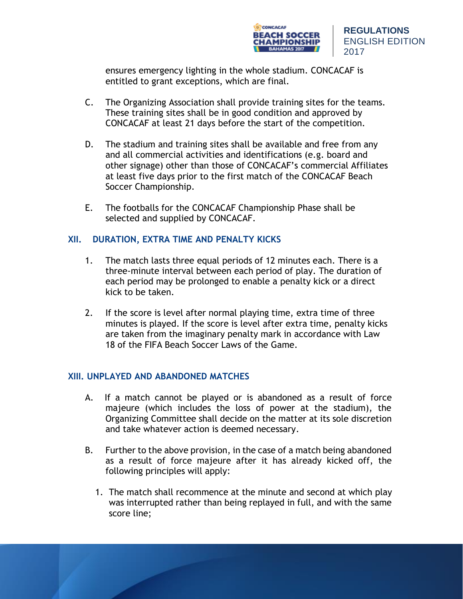

ensures emergency lighting in the whole stadium. CONCACAF is entitled to grant exceptions, which are final.

- C. The Organizing Association shall provide training sites for the teams. These training sites shall be in good condition and approved by CONCACAF at least 21 days before the start of the competition.
- D. The stadium and training sites shall be available and free from any and all commercial activities and identifications (e.g. board and other signage) other than those of CONCACAF's commercial Affiliates at least five days prior to the first match of the CONCACAF Beach Soccer Championship.
- E. The footballs for the CONCACAF Championship Phase shall be selected and supplied by CONCACAF.

# **XII. DURATION, EXTRA TIME AND PENALTY KICKS**

- 1. The match lasts three equal periods of 12 minutes each. There is a three-minute interval between each period of play. The duration of each period may be prolonged to enable a penalty kick or a direct kick to be taken.
- 2. If the score is level after normal playing time, extra time of three minutes is played. If the score is level after extra time, penalty kicks are taken from the imaginary penalty mark in accordance with Law 18 of the FIFA Beach Soccer Laws of the Game.

## **XIII. UNPLAYED AND ABANDONED MATCHES**

- A. If a match cannot be played or is abandoned as a result of force majeure (which includes the loss of power at the stadium), the Organizing Committee shall decide on the matter at its sole discretion and take whatever action is deemed necessary.
- B. Further to the above provision, in the case of a match being abandoned as a result of force majeure after it has already kicked off, the following principles will apply:
	- 1. The match shall recommence at the minute and second at which play was interrupted rather than being replayed in full, and with the same score line;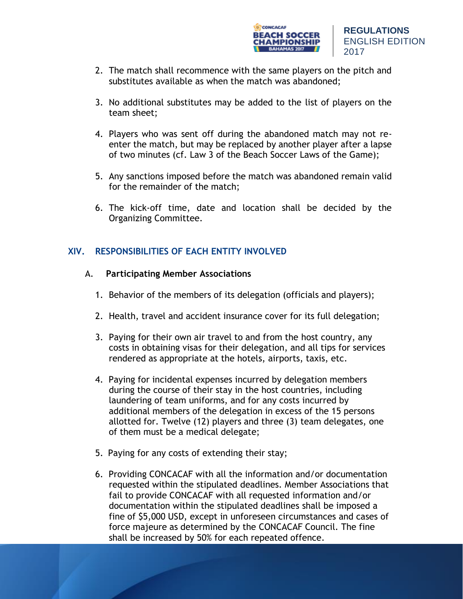

- 2. The match shall recommence with the same players on the pitch and substitutes available as when the match was abandoned;
- 3. No additional substitutes may be added to the list of players on the team sheet;
- 4. Players who was sent off during the abandoned match may not reenter the match, but may be replaced by another player after a lapse of two minutes (cf. Law 3 of the Beach Soccer Laws of the Game);
- 5. Any sanctions imposed before the match was abandoned remain valid for the remainder of the match;
- 6. The kick-off time, date and location shall be decided by the Organizing Committee.

# **XIV. RESPONSIBILITIES OF EACH ENTITY INVOLVED**

# A. **Participating Member Associations**

- 1. Behavior of the members of its delegation (officials and players);
- 2. Health, travel and accident insurance cover for its full delegation;
- 3. Paying for their own air travel to and from the host country, any costs in obtaining visas for their delegation, and all tips for services rendered as appropriate at the hotels, airports, taxis, etc.
- 4. Paying for incidental expenses incurred by delegation members during the course of their stay in the host countries, including laundering of team uniforms, and for any costs incurred by additional members of the delegation in excess of the 15 persons allotted for. Twelve (12) players and three (3) team delegates, one of them must be a medical delegate;
- 5. Paying for any costs of extending their stay;
- 6. Providing CONCACAF with all the information and/or documentation requested within the stipulated deadlines. Member Associations that fail to provide CONCACAF with all requested information and/or documentation within the stipulated deadlines shall be imposed a fine of \$5,000 USD, except in unforeseen circumstances and cases of force majeure as determined by the CONCACAF Council. The fine shall be increased by 50% for each repeated offence.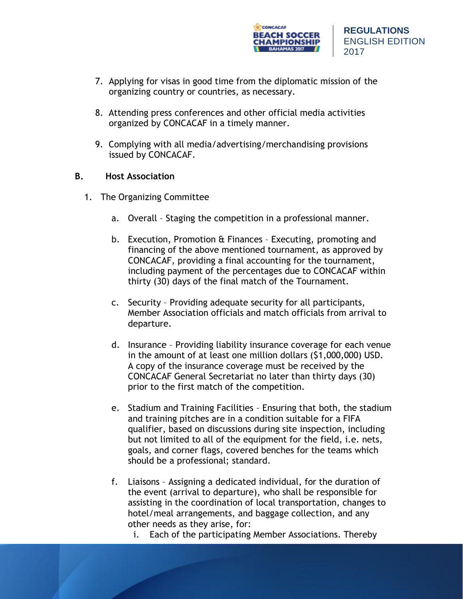

- 7. Applying for visas in good time from the diplomatic mission of the organizing country or countries, as necessary.
- 8. Attending press conferences and other official media activities organized by CONCACAF in a timely manner.
- 9. Complying with all media/advertising/merchandising provisions issued by CONCACAF.

## **B. Host Association**

- 1. The Organizing Committee
	- a. Overall Staging the competition in a professional manner.
	- b. Execution, Promotion & Finances Executing, promoting and financing of the above mentioned tournament, as approved by CONCACAF, providing a final accounting for the tournament, including payment of the percentages due to CONCACAF within thirty (30) days of the final match of the Tournament.
	- c. Security Providing adequate security for all participants, Member Association officials and match officials from arrival to departure.
	- d. Insurance Providing liability insurance coverage for each venue in the amount of at least one million dollars (\$1,000,000) USD. A copy of the insurance coverage must be received by the CONCACAF General Secretariat no later than thirty days (30) prior to the first match of the competition.
	- e. Stadium and Training Facilities Ensuring that both, the stadium and training pitches are in a condition suitable for a FIFA qualifier, based on discussions during site inspection, including but not limited to all of the equipment for the field, i.e. nets, goals, and corner flags, covered benches for the teams which should be a professional; standard.
	- f. Liaisons Assigning a dedicated individual, for the duration of the event (arrival to departure), who shall be responsible for assisting in the coordination of local transportation, changes to hotel/meal arrangements, and baggage collection, and any other needs as they arise, for:
		- i. Each of the participating Member Associations. Thereby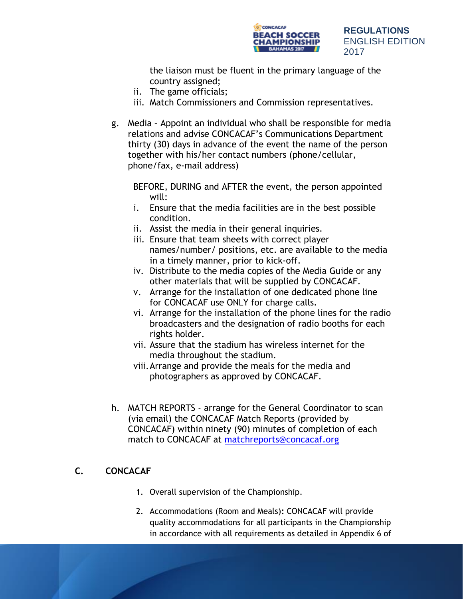

the liaison must be fluent in the primary language of the country assigned;

- ii. The game officials;
- iii. Match Commissioners and Commission representatives.
- g. Media Appoint an individual who shall be responsible for media relations and advise CONCACAF's Communications Department thirty (30) days in advance of the event the name of the person together with his/her contact numbers (phone/cellular, phone/fax, e-mail address)

BEFORE, DURING and AFTER the event, the person appointed will:

- i. Ensure that the media facilities are in the best possible condition.
- ii. Assist the media in their general inquiries.
- iii. Ensure that team sheets with correct player names/number/ positions, etc. are available to the media in a timely manner, prior to kick-off.
- iv. Distribute to the media copies of the Media Guide or any other materials that will be supplied by CONCACAF.
- v. Arrange for the installation of one dedicated phone line for CONCACAF use ONLY for charge calls.
- vi. Arrange for the installation of the phone lines for the radio broadcasters and the designation of radio booths for each rights holder.
- vii. Assure that the stadium has wireless internet for the media throughout the stadium.
- viii.Arrange and provide the meals for the media and photographers as approved by CONCACAF.
- h. MATCH REPORTS arrange for the General Coordinator to scan (via email) the CONCACAF Match Reports (provided by CONCACAF) within ninety (90) minutes of completion of each match to CONCACAF at [matchreports@concacaf.org](mailto:matchreports@concacaf.org)

# **C. CONCACAF**

- 1. Overall supervision of the Championship.
- 2. Accommodations (Room and Meals)**:** CONCACAF will provide quality accommodations for all participants in the Championship in accordance with all requirements as detailed in Appendix 6 of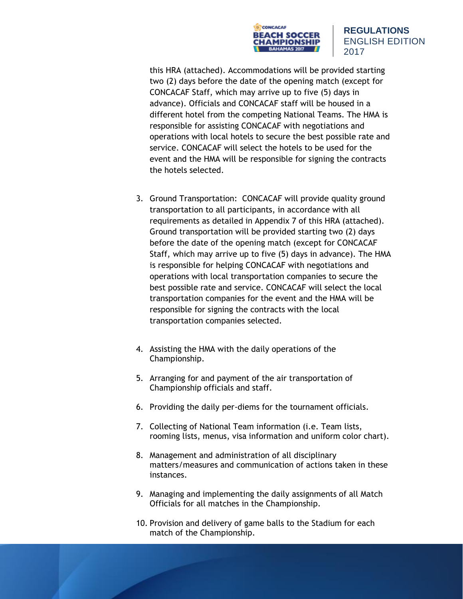

this HRA (attached). Accommodations will be provided starting two (2) days before the date of the opening match (except for CONCACAF Staff, which may arrive up to five (5) days in advance). Officials and CONCACAF staff will be housed in a different hotel from the competing National Teams. The HMA is responsible for assisting CONCACAF with negotiations and operations with local hotels to secure the best possible rate and service. CONCACAF will select the hotels to be used for the event and the HMA will be responsible for signing the contracts the hotels selected.

- 3. Ground Transportation: CONCACAF will provide quality ground transportation to all participants, in accordance with all requirements as detailed in Appendix 7 of this HRA (attached). Ground transportation will be provided starting two (2) days before the date of the opening match (except for CONCACAF Staff, which may arrive up to five (5) days in advance). The HMA is responsible for helping CONCACAF with negotiations and operations with local transportation companies to secure the best possible rate and service. CONCACAF will select the local transportation companies for the event and the HMA will be responsible for signing the contracts with the local transportation companies selected.
- 4. Assisting the HMA with the daily operations of the Championship.
- 5. Arranging for and payment of the air transportation of Championship officials and staff.
- 6. Providing the daily per-diems for the tournament officials.
- 7. Collecting of National Team information (i.e. Team lists, rooming lists, menus, visa information and uniform color chart).
- 8. Management and administration of all disciplinary matters/measures and communication of actions taken in these instances.
- 9. Managing and implementing the daily assignments of all Match Officials for all matches in the Championship.
- 10. Provision and delivery of game balls to the Stadium for each match of the Championship.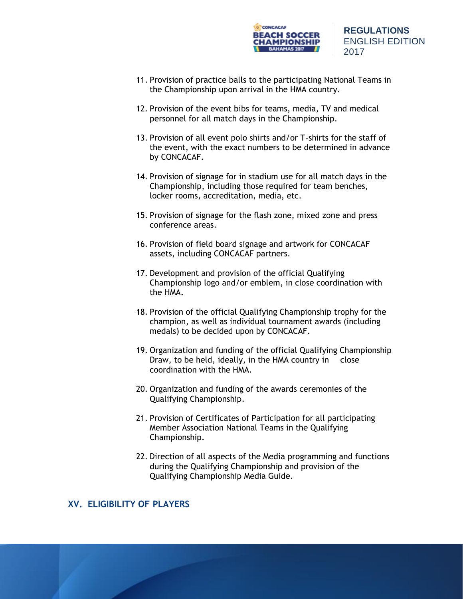

- 11. Provision of practice balls to the participating National Teams in the Championship upon arrival in the HMA country.
- 12. Provision of the event bibs for teams, media, TV and medical personnel for all match days in the Championship.
- 13. Provision of all event polo shirts and/or T-shirts for the staff of the event, with the exact numbers to be determined in advance by CONCACAF.
- 14. Provision of signage for in stadium use for all match days in the Championship, including those required for team benches, locker rooms, accreditation, media, etc.
- 15. Provision of signage for the flash zone, mixed zone and press conference areas.
- 16. Provision of field board signage and artwork for CONCACAF assets, including CONCACAF partners.
- 17. Development and provision of the official Qualifying Championship logo and/or emblem, in close coordination with the HMA.
- 18. Provision of the official Qualifying Championship trophy for the champion, as well as individual tournament awards (including medals) to be decided upon by CONCACAF.
- 19. Organization and funding of the official Qualifying Championship Draw, to be held, ideally, in the HMA country in close coordination with the HMA.
- 20. Organization and funding of the awards ceremonies of the Qualifying Championship.
- 21. Provision of Certificates of Participation for all participating Member Association National Teams in the Qualifying Championship.
- 22. Direction of all aspects of the Media programming and functions during the Qualifying Championship and provision of the Qualifying Championship Media Guide.

# **XV. ELIGIBILITY OF PLAYERS**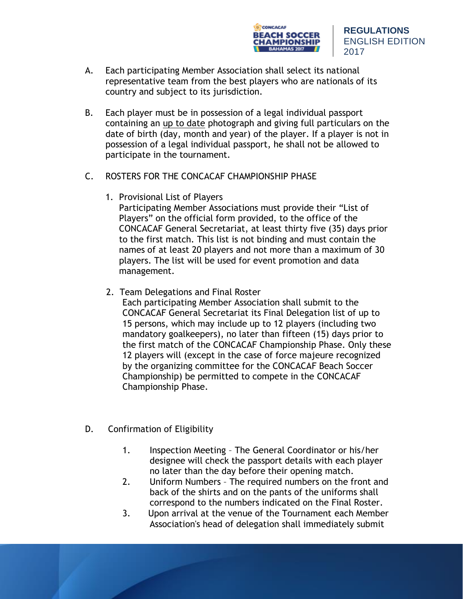

- A. Each participating Member Association shall select its national representative team from the best players who are nationals of its country and subject to its jurisdiction.
- B. Each player must be in possession of a legal individual passport containing an up to date photograph and giving full particulars on the date of birth (day, month and year) of the player. If a player is not in possession of a legal individual passport, he shall not be allowed to participate in the tournament.
- C. ROSTERS FOR THE CONCACAF CHAMPIONSHIP PHASE
	- 1. Provisional List of Players

Participating Member Associations must provide their "List of Players" on the official form provided, to the office of the CONCACAF General Secretariat, at least thirty five (35) days prior to the first match. This list is not binding and must contain the names of at least 20 players and not more than a maximum of 30 players. The list will be used for event promotion and data management.

2. Team Delegations and Final Roster

Each participating Member Association shall submit to the CONCACAF General Secretariat its Final Delegation list of up to 15 persons, which may include up to 12 players (including two mandatory goalkeepers), no later than fifteen (15) days prior to the first match of the CONCACAF Championship Phase. Only these 12 players will (except in the case of force majeure recognized by the organizing committee for the CONCACAF Beach Soccer Championship) be permitted to compete in the CONCACAF Championship Phase.

- D. Confirmation of Eligibility
	- 1. Inspection Meeting The General Coordinator or his/her designee will check the passport details with each player no later than the day before their opening match.
	- 2. Uniform Numbers The required numbers on the front and back of the shirts and on the pants of the uniforms shall correspond to the numbers indicated on the Final Roster.
	- 3. Upon arrival at the venue of the Tournament each Member Association's head of delegation shall immediately submit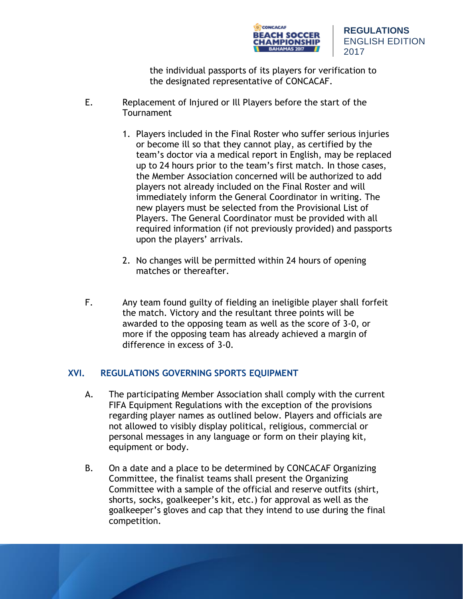

the individual passports of its players for verification to the designated representative of CONCACAF.

- E. Replacement of Injured or Ill Players before the start of the **Tournament** 
	- 1. Players included in the Final Roster who suffer serious injuries or become ill so that they cannot play, as certified by the team's doctor via a medical report in English, may be replaced up to 24 hours prior to the team's first match. In those cases, the Member Association concerned will be authorized to add players not already included on the Final Roster and will immediately inform the General Coordinator in writing. The new players must be selected from the Provisional List of Players. The General Coordinator must be provided with all required information (if not previously provided) and passports upon the players' arrivals.
	- 2. No changes will be permitted within 24 hours of opening matches or thereafter.
- F. Any team found guilty of fielding an ineligible player shall forfeit the match. Victory and the resultant three points will be awarded to the opposing team as well as the score of 3-0, or more if the opposing team has already achieved a margin of difference in excess of 3-0.

## **XVI. REGULATIONS GOVERNING SPORTS EQUIPMENT**

- A. The participating Member Association shall comply with the current FIFA Equipment Regulations with the exception of the provisions regarding player names as outlined below. Players and officials are not allowed to visibly display political, religious, commercial or personal messages in any language or form on their playing kit, equipment or body.
- B. On a date and a place to be determined by CONCACAF Organizing Committee, the finalist teams shall present the Organizing Committee with a sample of the official and reserve outfits (shirt, shorts, socks, goalkeeper's kit, etc.) for approval as well as the goalkeeper's gloves and cap that they intend to use during the final competition.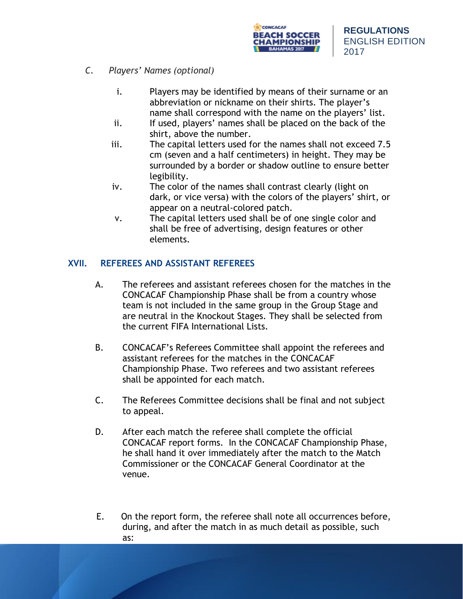

- *C. Players' Names (optional)*
	- i. Players may be identified by means of their surname or an abbreviation or nickname on their shirts. The player's name shall correspond with the name on the players' list.
	- ii. If used, players' names shall be placed on the back of the shirt, above the number.
	- iii. The capital letters used for the names shall not exceed 7.5 cm (seven and a half centimeters) in height. They may be surrounded by a border or shadow outline to ensure better legibility.
	- iv. The color of the names shall contrast clearly (light on dark, or vice versa) with the colors of the players' shirt, or appear on a neutral-colored patch.
	- v. The capital letters used shall be of one single color and shall be free of advertising, design features or other elements.

# **XVII. REFEREES AND ASSISTANT REFEREES**

- A. The referees and assistant referees chosen for the matches in the CONCACAF Championship Phase shall be from a country whose team is not included in the same group in the Group Stage and are neutral in the Knockout Stages. They shall be selected from the current FIFA International Lists.
- B. CONCACAF's Referees Committee shall appoint the referees and assistant referees for the matches in the CONCACAF Championship Phase. Two referees and two assistant referees shall be appointed for each match.
- C. The Referees Committee decisions shall be final and not subject to appeal.
- D. After each match the referee shall complete the official CONCACAF report forms. In the CONCACAF Championship Phase, he shall hand it over immediately after the match to the Match Commissioner or the CONCACAF General Coordinator at the venue.
- E. On the report form, the referee shall note all occurrences before, during, and after the match in as much detail as possible, such as: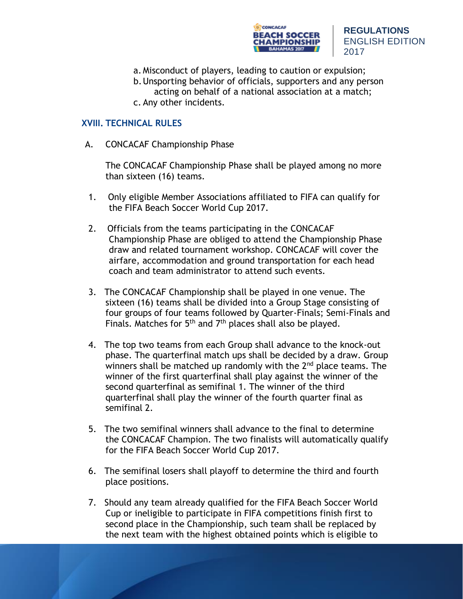

- a. Misconduct of players, leading to caution or expulsion;
- b.Unsporting behavior of officials, supporters and any person acting on behalf of a national association at a match;
- c. Any other incidents.

### **XVIII. TECHNICAL RULES**

A. CONCACAF Championship Phase

The CONCACAF Championship Phase shall be played among no more than sixteen (16) teams.

- 1. Only eligible Member Associations affiliated to FIFA can qualify for the FIFA Beach Soccer World Cup 2017.
- 2. Officials from the teams participating in the CONCACAF Championship Phase are obliged to attend the Championship Phase draw and related tournament workshop. CONCACAF will cover the airfare, accommodation and ground transportation for each head coach and team administrator to attend such events.
- 3. The CONCACAF Championship shall be played in one venue. The sixteen (16) teams shall be divided into a Group Stage consisting of four groups of four teams followed by Quarter-Finals; Semi-Finals and Finals. Matches for  $5<sup>th</sup>$  and  $7<sup>th</sup>$  places shall also be played.
- 4. The top two teams from each Group shall advance to the knock-out phase. The quarterfinal match ups shall be decided by a draw. Group winners shall be matched up randomly with the  $2<sup>nd</sup>$  place teams. The winner of the first quarterfinal shall play against the winner of the second quarterfinal as semifinal 1. The winner of the third quarterfinal shall play the winner of the fourth quarter final as semifinal 2.
- 5. The two semifinal winners shall advance to the final to determine the CONCACAF Champion. The two finalists will automatically qualify for the FIFA Beach Soccer World Cup 2017.
- 6. The semifinal losers shall playoff to determine the third and fourth place positions.
- 7. Should any team already qualified for the FIFA Beach Soccer World Cup or ineligible to participate in FIFA competitions finish first to second place in the Championship, such team shall be replaced by the next team with the highest obtained points which is eligible to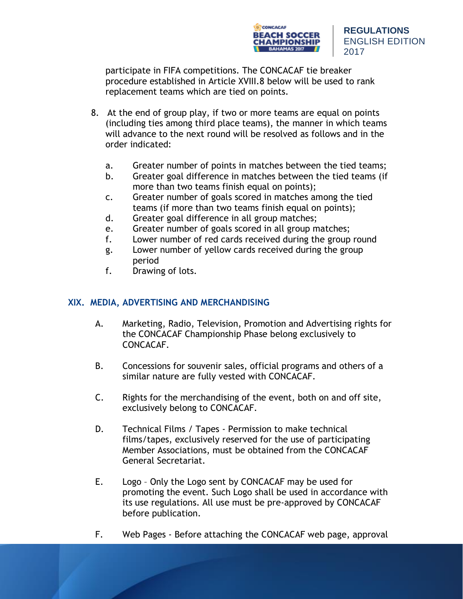

participate in FIFA competitions. The CONCACAF tie breaker procedure established in Article XVIII.8 below will be used to rank replacement teams which are tied on points.

- 8. At the end of group play, if two or more teams are equal on points (including ties among third place teams), the manner in which teams will advance to the next round will be resolved as follows and in the order indicated:
	- a. Greater number of points in matches between the tied teams;
	- b. Greater goal difference in matches between the tied teams (if more than two teams finish equal on points);
	- c. Greater number of goals scored in matches among the tied teams (if more than two teams finish equal on points);
	- d. Greater goal difference in all group matches;
	- e. Greater number of goals scored in all group matches;
	- f. Lower number of red cards received during the group round
	- g. Lower number of yellow cards received during the group period
	- f. Drawing of lots.

# **XIX. MEDIA, ADVERTISING AND MERCHANDISING**

- A. Marketing, Radio, Television, Promotion and Advertising rights for the CONCACAF Championship Phase belong exclusively to CONCACAF.
- B. Concessions for souvenir sales, official programs and others of a similar nature are fully vested with CONCACAF.
- C. Rights for the merchandising of the event, both on and off site, exclusively belong to CONCACAF.
- D. Technical Films / Tapes Permission to make technical films/tapes, exclusively reserved for the use of participating Member Associations, must be obtained from the CONCACAF General Secretariat.
- E. Logo Only the Logo sent by CONCACAF may be used for promoting the event. Such Logo shall be used in accordance with its use regulations. All use must be pre-approved by CONCACAF before publication.
- F. Web Pages Before attaching the CONCACAF web page, approval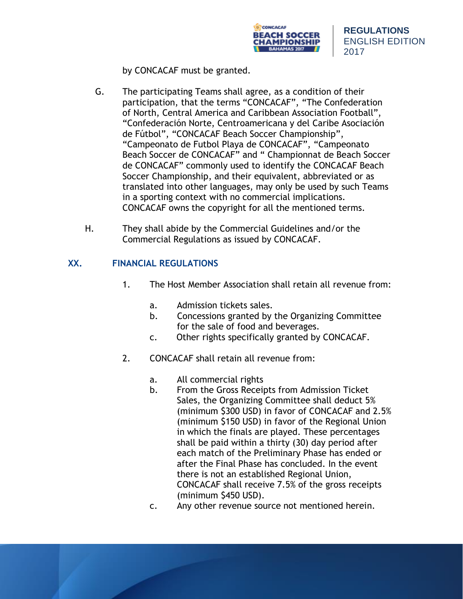

by CONCACAF must be granted.

- G. The participating Teams shall agree, as a condition of their participation, that the terms "CONCACAF", "The Confederation of North, Central America and Caribbean Association Football", "Confederación Norte, Centroamericana y del Caribe Asociación de Fútbol", "CONCACAF Beach Soccer Championship", "Campeonato de Futbol Playa de CONCACAF", "Campeonato Beach Soccer de CONCACAF" and " Championnat de Beach Soccer de CONCACAF" commonly used to identify the CONCACAF Beach Soccer Championship, and their equivalent, abbreviated or as translated into other languages, may only be used by such Teams in a sporting context with no commercial implications. CONCACAF owns the copyright for all the mentioned terms.
- H. They shall abide by the Commercial Guidelines and/or the Commercial Regulations as issued by CONCACAF.

# **XX. FINANCIAL REGULATIONS**

- 1. The Host Member Association shall retain all revenue from:
	- a. Admission tickets sales.
	- b. Concessions granted by the Organizing Committee for the sale of food and beverages.
	- c. Other rights specifically granted by CONCACAF.
- 2. CONCACAF shall retain all revenue from:
	- a. All commercial rights
	- b. From the Gross Receipts from Admission Ticket Sales, the Organizing Committee shall deduct 5% (minimum \$300 USD) in favor of CONCACAF and 2.5% (minimum \$150 USD) in favor of the Regional Union in which the finals are played. These percentages shall be paid within a thirty (30) day period after each match of the Preliminary Phase has ended or after the Final Phase has concluded. In the event there is not an established Regional Union, CONCACAF shall receive 7.5% of the gross receipts (minimum \$450 USD).
	- c. Any other revenue source not mentioned herein.